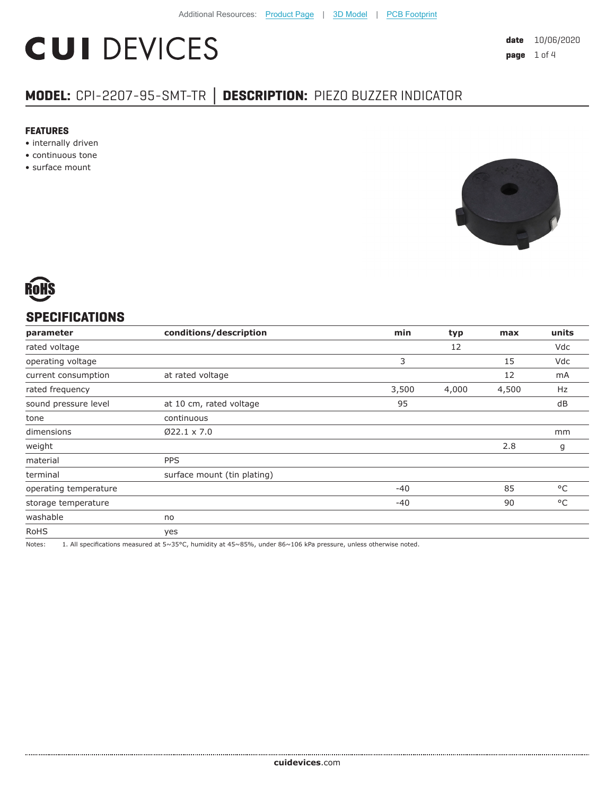# **CUI DEVICES**

## **MODEL:** CPI-2207-95-SMT-TR **│ DESCRIPTION:** PIEZO BUZZER INDICATOR

#### **FEATURES**

- internally driven
- continuous tone
- surface mount





### **SPECIFICATIONS**

| conditions/description      | min   | typ   | max   | units        |
|-----------------------------|-------|-------|-------|--------------|
|                             |       | 12    |       | Vdc          |
|                             | 3     |       | 15    | Vdc          |
| at rated voltage            |       |       | 12    | mA           |
|                             | 3,500 | 4,000 | 4,500 | Hz           |
| at 10 cm, rated voltage     | 95    |       |       | dB           |
| continuous                  |       |       |       |              |
| $Ø22.1 \times 7.0$          |       |       |       | mm           |
|                             |       |       | 2.8   | g            |
| <b>PPS</b>                  |       |       |       |              |
| surface mount (tin plating) |       |       |       |              |
|                             | $-40$ |       | 85    | $^{\circ}$ C |
|                             | $-40$ |       | 90    | $^{\circ}$ C |
| no                          |       |       |       |              |
| yes                         |       |       |       |              |
|                             |       |       |       |              |

Notes: 1. All specifications measured at 5~35°C, humidity at 45~85%, under 86~106 kPa pressure, unless otherwise noted.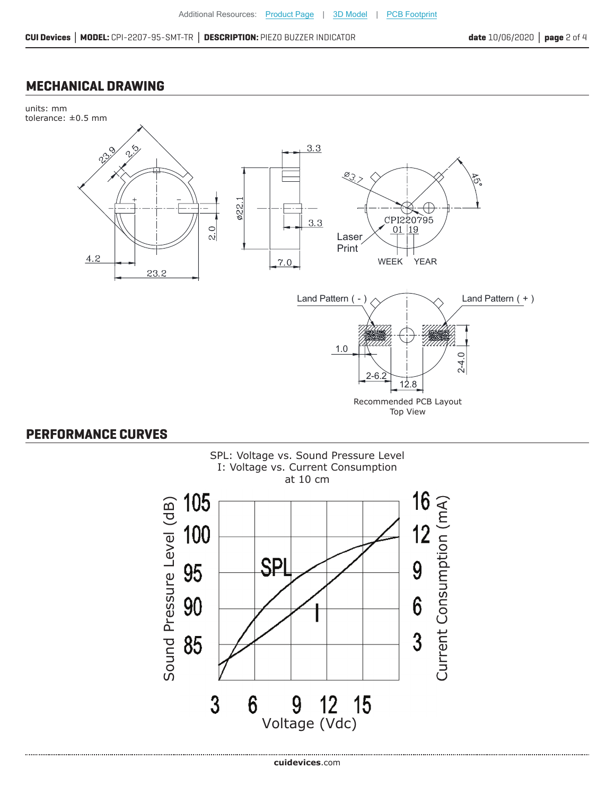#### **MECHANICAL DRAWING**



#### **PERFORMANCE CURVES**

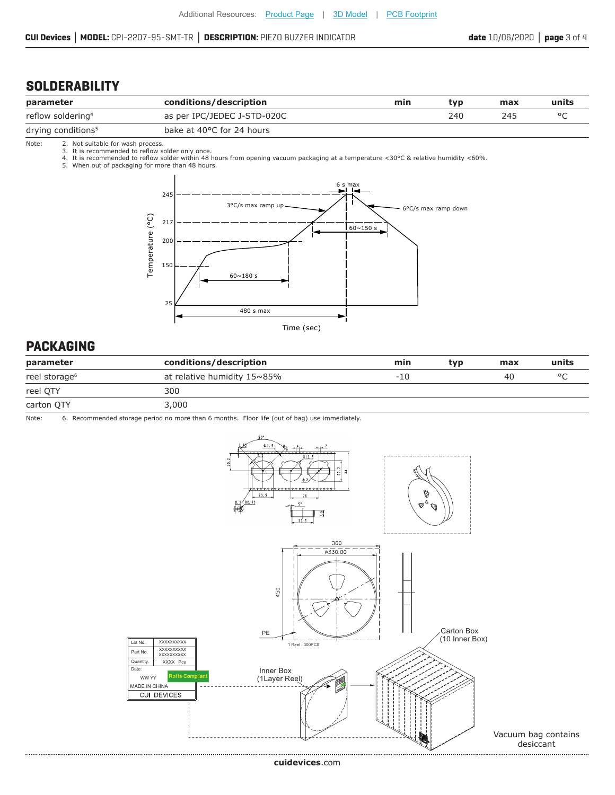#### **CUI Devices │ MODEL:** CPI-2207-95-SMT-TR **│ DESCRIPTION:** PIEZO BUZZER INDICATOR **date** 10/06/2020 **│ page** 3 of 4

## **SOLDERABILITY**

| parameter                      | conditions/description      | min | tvp | max | units |
|--------------------------------|-----------------------------|-----|-----|-----|-------|
| reflow soldering <sup>4</sup>  | as per IPC/JEDEC J-STD-020C |     | 240 | 24. |       |
| drying conditions <sup>5</sup> | bake at 40°C for 24 hours   |     |     |     |       |

Note: 2. Not suitable for wash process.

3. It is recommended to reflow solder only once.<br>4. It is recommended to reflow solder within 48 hours from opening vacuum packaging at a temperature <30°C & relative humidity <60%.<br>5. When out of packaging for more than 4



#### **PACKAGING**

| parameter                 | conditions/description              | min   | typ | max | units   |
|---------------------------|-------------------------------------|-------|-----|-----|---------|
| reel storage <sup>6</sup> | at relative humidity $15 \sim 85\%$ | $-10$ |     | 40  | $\circ$ |
| reel OTY                  | 300                                 |       |     |     |         |
| carton QTY                | 3,000                               |       |     |     |         |

Note: 6. Recommended storage period no more than 6 months. Floor life (out of bag) use immediately.